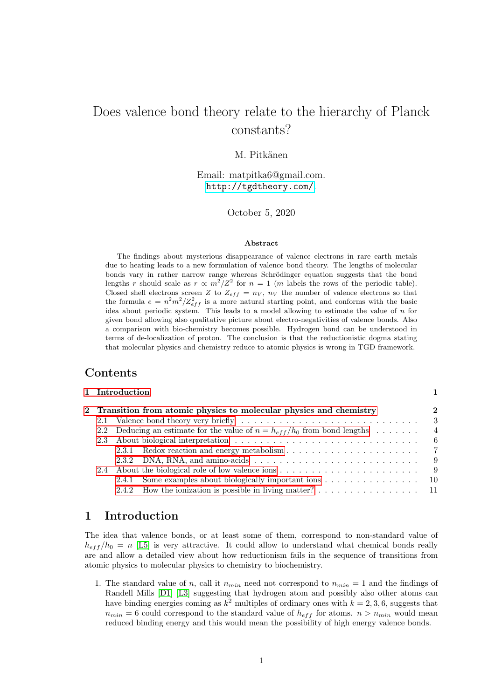# Does valence bond theory relate to the hierarchy of Planck constants?

## M. Pitkänen

Email: matpitka6@gmail.com. <http://tgdtheory.com/>.

October 5, 2020

#### Abstract

The findings about mysterious disappearance of valence electrons in rare earth metals due to heating leads to a new formulation of valence bond theory. The lengths of molecular bonds vary in rather narrow range whereas Schrödinger equation suggests that the bond lengths r should scale as  $r \propto m^2/Z^2$  for  $n = 1$  (m labels the rows of the periodic table). Closed shell electrons screen Z to  $Z_{eff} = n_V$ ,  $n_V$  the number of valence electrons so that the formula  $e = n^2m^2/Z_{eff}^2$  is a more natural starting point, and conforms with the basic idea about periodic system. This leads to a model allowing to estimate the value of  $n$  for given bond allowing also qualitative picture about electro-negativities of valence bonds. Also a comparison with bio-chemistry becomes possible. Hydrogen bond can be understood in terms of de-localization of proton. The conclusion is that the reductionistic dogma stating that molecular physics and chemistry reduce to atomic physics is wrong in TGD framework.

## Contents

|                                                                                                | $\mathbf{2}$                                                                                                                                                           |
|------------------------------------------------------------------------------------------------|------------------------------------------------------------------------------------------------------------------------------------------------------------------------|
|                                                                                                | - 3                                                                                                                                                                    |
|                                                                                                | $\overline{4}$                                                                                                                                                         |
|                                                                                                | - 6                                                                                                                                                                    |
|                                                                                                |                                                                                                                                                                        |
|                                                                                                | - 9                                                                                                                                                                    |
|                                                                                                | - 9                                                                                                                                                                    |
| Some examples about biologically important ions $\dots \dots \dots \dots \dots \dots$<br>2.4.1 |                                                                                                                                                                        |
|                                                                                                |                                                                                                                                                                        |
|                                                                                                | 1 Introduction<br>2 Transition from atomic physics to molecular physics and chemistry<br>2.2 Deducing an estimate for the value of $n = h_{eff}/h_0$ from bond lengths |

## <span id="page-0-0"></span>1 Introduction

The idea that valence bonds, or at least some of them, correspond to non-standard value of  $h_{eff}/h_0 = n$  [\[L5\]](#page-11-0) is very attractive. It could allow to understand what chemical bonds really are and allow a detailed view about how reductionism fails in the sequence of transitions from atomic physics to molecular physics to chemistry to biochemistry.

1. The standard value of n, call it  $n_{min}$  need not correspond to  $n_{min} = 1$  and the findings of Randell Mills [\[D1\]](#page-10-1) [\[L3\]](#page-11-1) suggesting that hydrogen atom and possibly also other atoms can have binding energies coming as  $k^2$  multiples of ordinary ones with  $k = 2, 3, 6$ , suggests that  $n_{min} = 6$  could correspond to the standard value of  $h_{eff}$  for atoms.  $n > n_{min}$  would mean reduced binding energy and this would mean the possibility of high energy valence bonds.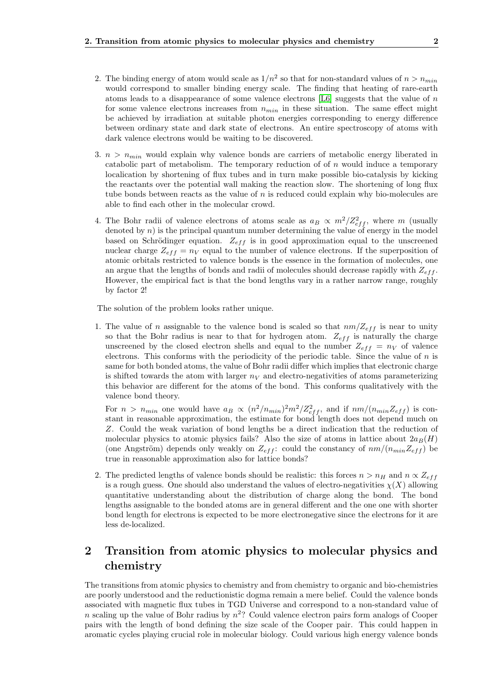- 2. The binding energy of atom would scale as  $1/n^2$  so that for non-standard values of  $n > n_{min}$ would correspond to smaller binding energy scale. The finding that heating of rare-earth atoms leads to a disappearance of some valence electrons  $[L6]$  suggests that the value of n for some valence electrons increases from  $n_{min}$  in these situation. The same effect might be achieved by irradiation at suitable photon energies corresponding to energy difference between ordinary state and dark state of electrons. An entire spectroscopy of atoms with dark valence electrons would be waiting to be discovered.
- 3.  $n > n_{min}$  would explain why valence bonds are carriers of metabolic energy liberated in catabolic part of metabolism. The temporary reduction of of  $n$  would induce a temporary localication by shortening of flux tubes and in turn make possible bio-catalysis by kicking the reactants over the potential wall making the reaction slow. The shortening of long flux tube bonds between reacts as the value of  $n$  is reduced could explain why bio-molecules are able to find each other in the molecular crowd.
- 4. The Bohr radii of valence electrons of atoms scale as  $a_B \propto m^2/Z_{eff}^2$ , where m (usually denoted by  $n$ ) is the principal quantum number determining the value of energy in the model based on Schrödinger equation.  $Z_{eff}$  is in good approximation equal to the unscreened nuclear charge  $Z_{eff} = n_V$  equal to the number of valence electrons. If the superposition of atomic orbitals restricted to valence bonds is the essence in the formation of molecules, one an argue that the lengths of bonds and radii of molecules should decrease rapidly with  $Z_{eff}$ . However, the empirical fact is that the bond lengths vary in a rather narrow range, roughly by factor 2!

The solution of the problem looks rather unique.

1. The value of n assignable to the valence bond is scaled so that  $nm/Z_{eff}$  is near to unity so that the Bohr radius is near to that for hydrogen atom.  $Z_{eff}$  is naturally the charge unscreened by the closed electron shells and equal to the number  $Z_{eff} = n_V$  of valence electrons. This conforms with the periodicity of the periodic table. Since the value of  $n$  is same for both bonded atoms, the value of Bohr radii differ which implies that electronic charge is shifted towards the atom with larger  $n<sub>V</sub>$  and electro-negativities of atoms parameterizing this behavior are different for the atoms of the bond. This conforms qualitatively with the valence bond theory.

For  $n > n_{min}$  one would have  $a_B \propto (n^2/n_{min})^2 m^2/Z_{eff}^2$ , and if  $nm/(n_{min}Z_{eff})$  is constant in reasonable approximation, the estimate for bond length does not depend much on Z. Could the weak variation of bond lengths be a direct indication that the reduction of molecular physics to atomic physics fails? Also the size of atoms in lattice about  $2a_B(H)$ (one Angström) depends only weakly on  $Z_{eff}$ : could the constancy of  $nm/(n_{min}Z_{eff})$  be true in reasonable approximation also for lattice bonds?

2. The predicted lengths of valence bonds should be realistic: this forces  $n > n_H$  and  $n \propto Z_{eff}$ is a rough guess. One should also understand the values of electro-negativities  $\chi(X)$  allowing quantitative understanding about the distribution of charge along the bond. The bond lengths assignable to the bonded atoms are in general different and the one one with shorter bond length for electrons is expected to be more electronegative since the electrons for it are less de-localized.

## <span id="page-1-0"></span>2 Transition from atomic physics to molecular physics and chemistry

The transitions from atomic physics to chemistry and from chemistry to organic and bio-chemistries are poorly understood and the reductionistic dogma remain a mere belief. Could the valence bonds associated with magnetic flux tubes in TGD Universe and correspond to a non-standard value of n scaling up the value of Bohr radius by  $n^2$ ? Could valence electron pairs form analogs of Cooper pairs with the length of bond defining the size scale of the Cooper pair. This could happen in aromatic cycles playing crucial role in molecular biology. Could various high energy valence bonds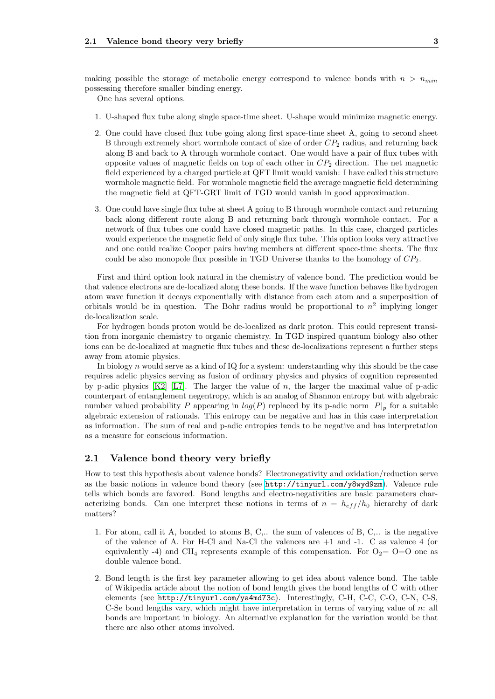making possible the storage of metabolic energy correspond to valence bonds with  $n > n_{min}$ possessing therefore smaller binding energy.

One has several options.

- 1. U-shaped flux tube along single space-time sheet. U-shape would minimize magnetic energy.
- 2. One could have closed flux tube going along first space-time sheet A, going to second sheet B through extremely short wormhole contact of size of order  $CP<sub>2</sub>$  radius, and returning back along B and back to A through wormhole contact. One would have a pair of flux tubes with opposite values of magnetic fields on top of each other in  $CP<sub>2</sub>$  direction. The net magnetic field experienced by a charged particle at QFT limit would vanish: I have called this structure wormhole magnetic field. For wormhole magnetic field the average magnetic field determining the magnetic field at QFT-GRT limit of TGD would vanish in good approximation.
- 3. One could have single flux tube at sheet A going to B through wormhole contact and returning back along different route along B and returning back through wormhole contact. For a network of flux tubes one could have closed magnetic paths. In this case, charged particles would experience the magnetic field of only single flux tube. This option looks very attractive and one could realize Cooper pairs having members at different space-time sheets. The flux could be also monopole flux possible in TGD Universe thanks to the homology of  $CP_2$ .

First and third option look natural in the chemistry of valence bond. The prediction would be that valence electrons are de-localized along these bonds. If the wave function behaves like hydrogen atom wave function it decays exponentially with distance from each atom and a superposition of orbitals would be in question. The Bohr radius would be proportional to  $n^2$  implying longer de-localization scale.

For hydrogen bonds proton would be de-localized as dark proton. This could represent transition from inorganic chemistry to organic chemistry. In TGD inspired quantum biology also other ions can be de-localized at magnetic flux tubes and these de-localizations represent a further steps away from atomic physics.

In biology n would serve as a kind of IQ for a system: understanding why this should be the case requires adelic physics serving as fusion of ordinary physics and physics of cognition represented by p-adic physics  $[K2]$  [\[L7\]](#page-11-4). The larger the value of n, the larger the maximal value of p-adic counterpart of entanglement negentropy, which is an analog of Shannon entropy but with algebraic number valued probability P appearing in  $log(P)$  replaced by its p-adic norm  $|P|_p$  for a suitable algebraic extension of rationals. This entropy can be negative and has in this case interpretation as information. The sum of real and p-adic entropies tends to be negative and has interpretation as a measure for conscious information.

#### <span id="page-2-0"></span>2.1 Valence bond theory very briefly

How to test this hypothesis about valence bonds? Electronegativity and oxidation/reduction serve as the basic notions in valence bond theory (see <http://tinyurl.com/y8wyd9zm>). Valence rule tells which bonds are favored. Bond lengths and electro-negativities are basic parameters characterizing bonds. Can one interpret these notions in terms of  $n = h_{eff}/h_0$  hierarchy of dark matters?

- 1. For atom, call it A, bonded to atoms B, C,.. the sum of valences of B, C,.. is the negative of the valence of A. For H-Cl and Na-Cl the valences are  $+1$  and  $-1$ . C as valence 4 (or equivalently -4) and CH<sub>4</sub> represents example of this compensation. For  $O_2= O=O$  one as double valence bond.
- 2. Bond length is the first key parameter allowing to get idea about valence bond. The table of Wikipedia article about the notion of bond length gives the bond lengths of C with other elements (see <http://tinyurl.com/ya4md73c>). Interestingly, C-H, C-C, C-O, C-N, C-S, C-Se bond lengths vary, which might have interpretation in terms of varying value of n: all bonds are important in biology. An alternative explanation for the variation would be that there are also other atoms involved.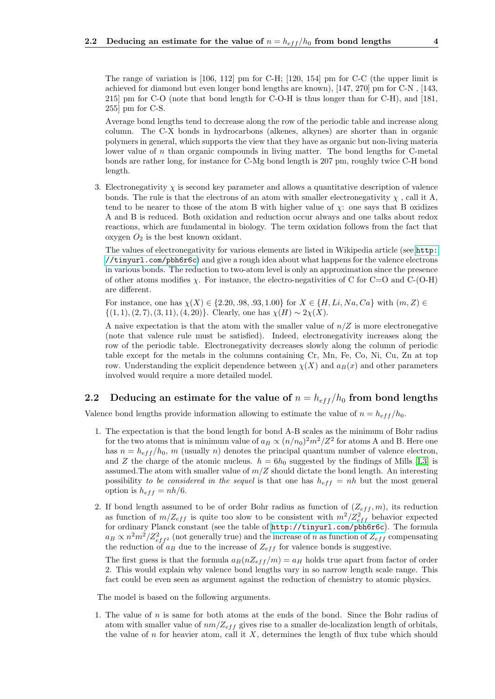The range of variation is [106, 112] pm for C-H; [120, 154] pm for C-C (the upper limit is achieved for diamond but even longer bond lengths are known), [147, 270] pm for C-N , [143, 215] pm for C-O (note that bond length for C-O-H is thus longer than for C-H), and [181, 255] pm for C-S.

Average bond lengths tend to decrease along the row of the periodic table and increase along column. The C-X bonds in hydrocarbons (alkenes, alkynes) are shorter than in organic polymers in general, which supports the view that they have as organic but non-living materia lower value of  $n$  than organic compounds in living matter. The bond lengths for C-metal bonds are rather long, for instance for C-Mg bond length is 207 pm, roughly twice C-H bond length.

3. Electronegativity  $\chi$  is second key parameter and allows a quantitative description of valence bonds. The rule is that the electrons of an atom with smaller electronegativity  $\chi$ , call it A, tend to be nearer to those of the atom B with higher value of  $\chi$ : one says that B oxidizes A and B is reduced. Both oxidation and reduction occur always and one talks about redox reactions, which are fundamental in biology. The term oxidation follows from the fact that oxygen  $O_2$  is the best known oxidant.

The values of electronegativity for various elements are listed in Wikipedia article (see [http:](http://tinyurl.com/pbh6r6c) [//tinyurl.com/pbh6r6c](http://tinyurl.com/pbh6r6c)) and give a rough idea about what happens for the valence electrons in various bonds. The reduction to two-atom level is only an approximation since the presence of other atoms modifies  $\chi$ . For instance, the electro-negativities of C for C=O and C-(O-H) are different.

For instance, one has  $\chi(X) \in \{2.20, .98, .93, 1.00\}$  for  $X \in \{H, Li, Na, Ca\}$  with  $(m, Z) \in$  $\{(1, 1), (2, 7), (3, 11), (4, 20)\}.$  Clearly, one has  $\chi(H) \sim 2\chi(X)$ .

A naive expectation is that the atom with the smaller value of  $n/Z$  is more electronegative (note that valence rule must be satisfied). Indeed, electronegativity increases along the row of the periodic table. Electronegativity decreases slowly along the column of periodic table except for the metals in the columns containing Cr, Mn, Fe, Co, Ni, Cu, Zn at top row. Understanding the explicit dependence between  $\chi(X)$  and  $a_B(x)$  and other parameters involved would require a more detailed model.

### <span id="page-3-0"></span>2.2 Deducing an estimate for the value of  $n = h_{eff}/h_0$  from bond lengths

Valence bond lengths provide information allowing to estimate the value of  $n = h_{eff}/h_0$ .

- 1. The expectation is that the bond length for bond A-B scales as the minimum of Bohr radius for the two atoms that is minimum value of  $a_B \propto (n/n_0)^2 m^2/Z^2$  for atoms A and B. Here one has  $n = h_{eff}/h_0$ , m (usually n) denotes the principal quantum number of valence electron, and Z the charge of the atomic nucleus.  $h = 6h_0$  suggested by the findings of Mills [\[L3\]](#page-11-1) is assumed. The atom with smaller value of  $m/Z$  should dictate the bond length. An interesting possibility to be considered in the sequel is that one has  $h_{eff} = nh$  but the most general option is  $h_{eff} = nh/6$ .
- 2. If bond length assumed to be of order Bohr radius as function of  $(Z_{eff}, m)$ , its reduction as function of  $m/Z_{eff}$  is quite too slow to be consistent with  $m^2/Z_{eff}^2$  behavior expected for ordinary Planck constant (see the table of <http://tinyurl.com/pbh6r6c>). The formula  $a_B \propto n^2 m^2/Z_{eff^2}^2$  (not generally true) and the increase of n as function of  $Z_{eff}$  compensating the reduction of  $a_B$  due to the increase of  $Z_{eff}$  for valence bonds is suggestive.

The first guess is that the formula  $a_B(nZ_{eff}/m) = a_H$  holds true apart from factor of order 2. This would explain why valence bond lengths vary in so narrow length scale range. This fact could be even seen as argument against the reduction of chemistry to atomic physics.

The model is based on the following arguments.

1. The value of  $n$  is same for both atoms at the ends of the bond. Since the Bohr radius of atom with smaller value of  $nm/Z_{eff}$  gives rise to a smaller de-localization length of orbitals, the value of  $n$  for heavier atom, call it  $X$ , determines the length of flux tube which should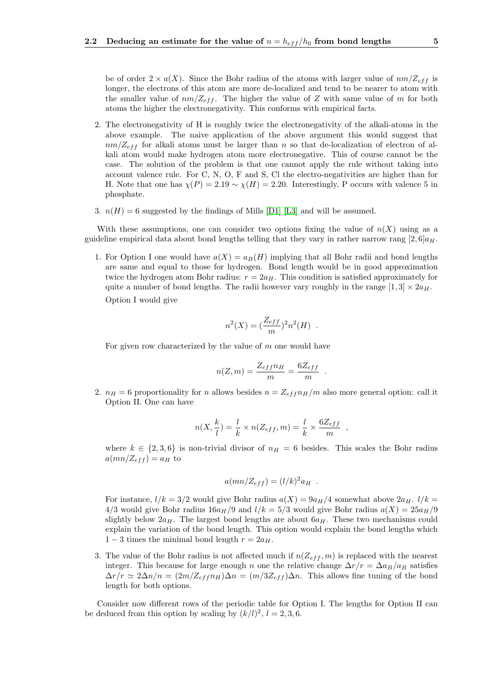be of order  $2 \times a(X)$ . Since the Bohr radius of the atoms with larger value of  $nm/Z_{eff}$  is longer, the electrons of this atom are more de-localized and tend to be nearer to atom with the smaller value of  $nm/Z_{eff}$ . The higher the value of Z with same value of m for both atoms the higher the electronegativity. This conforms with empirical facts.

- 2. The electronegativity of H is roughly twice the electronegativity of the alkali-atoms in the above example. The naive application of the above argument this would suggest that  $nm/Z_{eff}$  for alkali atoms must be larger than n so that de-localization of electron of alkali atom would make hydrogen atom more electronegative. This of course cannot be the case. The solution of the problem is that one cannot apply the rule without taking into account valence rule. For C, N, O, F and S, Cl the electro-negativities are higher than for H. Note that one has  $\chi(P) = 2.19 \sim \chi(H) = 2.20$ . Interestingly, P occurs with valence 5 in phosphate.
- 3.  $n(H) = 6$  suggested by the findings of Mills [\[D1\]](#page-10-1) [\[L3\]](#page-11-1) and will be assumed.

With these assumptions, one can consider two options fixing the value of  $n(X)$  using as a guideline empirical data about bond lengths telling that they vary in rather narrow rang  $\langle 2, 6 | a_H$ .

1. For Option I one would have  $a(X) = a_B(H)$  implying that all Bohr radii and bond lengths are same and equal to those for hydrogen. Bond length would be in good approximation twice the hydrogen atom Bohr radius:  $r = 2a_H$ . This condition is satisfied approximately for quite a number of bond lengths. The radii however vary roughly in the range  $[1,3] \times 2a_H$ .

Option I would give

$$
n^2(X) = (\frac{Z_{eff}}{m})^2 n^2(H) .
$$

For given row characterized by the value of  $m$  one would have

$$
n(Z,m) = \frac{Z_{eff}n_H}{m} = \frac{6Z_{eff}}{m}
$$

.

,

2.  $n_H = 6$  proportionality for n allows besides  $n = Z_{eff}n_H/m$  also more general option: call it Option II. One can have

$$
n(X, \frac{k}{l}) = \frac{l}{k} \times n(Z_{eff}, m) = \frac{l}{k} \times \frac{6Z_{eff}}{m}
$$

where  $k \in \{2,3,6\}$  is non-trivial divisor of  $n_H = 6$  besides. This scales the Bohr radius  $a(mn/Z_{eff}) = a_H$  to

$$
a(mn/Z_{eff}) = (l/k)^2 a_H.
$$

For instance,  $l/k = 3/2$  would give Bohr radius  $a(X) = 9a_H/4$  somewhat above  $2a_H$ .  $l/k =$ 4/3 would give Bohr radius  $16a_H/9$  and  $l/k = 5/3$  would give Bohr radius  $a(X) = 25a_H/9$ slightly below  $2a_H$ . The largest bond lengths are about  $6a_H$ . These two mechanisms could explain the variation of the bond length. This option would explain the bond lengths which  $1-3$  times the minimal bond length  $r = 2a_H$ .

3. The value of the Bohr radius is not affected much if  $n(Z_{eff}, m)$  is replaced with the nearest integer. This because for large enough n one the relative change  $\Delta r/r = \Delta a_B/a_B$  satisfies  $\Delta r/r \simeq 2\Delta n/n = (2m/Z_{eff}n_H)\Delta n = (m/3Z_{eff})\Delta n$ . This allows fine tuning of the bond length for both options.

Consider now different rows of the periodic table for Option I. The lengths for Option II can be deduced from this option by scaling by  $(k/l)^2$ ,  $l = 2, 3, 6$ .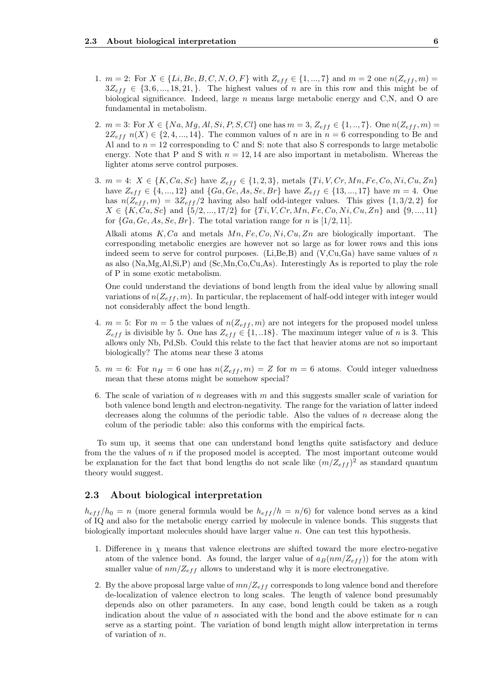- 1.  $m = 2$ : For  $X \in \{Li, Be, B, C, N, O, F\}$  with  $Z_{eff} \in \{1, ..., 7\}$  and  $m = 2$  one  $n(Z_{eff}, m) =$  $3Z_{eff} \in \{3, 6, ..., 18, 21, \}.$  The highest values of n are in this row and this might be of biological significance. Indeed, large  $n$  means large metabolic energy and C,N, and O are fundamental in metabolism.
- 2.  $m = 3$ : For  $X \in \{Na, Mg, Al, Si, P, S, Cl\}$  one has  $m = 3, Z_{eff} \in \{1, ..., 7\}$ . One  $n(Z_{eff}, m)$  $2Z_{eff} n(X) \in \{2, 4, ..., 14\}$ . The common values of n are in  $n = 6$  corresponding to Be and Al and to  $n = 12$  corresponding to C and S: note that also S corresponds to large metabolic energy. Note that P and S with  $n = 12, 14$  are also important in metabolism. Whereas the lighter atoms serve control purposes.
- 3.  $m = 4$ :  $X \in \{K, Ca, Sc\}$  have  $Z_{eff} \in \{1, 2, 3\}$ , metals  $\{Ti, V, Cr, Mn, Fe, Co, Ni, Cu, Zn\}$ have  $Z_{eff} \in \{4, ..., 12\}$  and  $\{Ga, Ge, As, Se, Br\}$  have  $Z_{eff} \in \{13, ..., 17\}$  have  $m = 4$ . One has  $n(Z_{eff}, m) = 3Z_{eff}/2$  having also half odd-integer values. This gives  $\{1, 3/2, 2\}$  for  $X \in \{K, Ca, Sc\}$  and  $\{5/2, ..., 17/2\}$  for  $\{Ti, V, Cr, Mn, Fe, Co, Ni, Cu, Zn\}$  and  $\{9, ..., 11\}$ for  $\{Ga, Ge, As, Se, Br\}$ . The total variation range for n is [1/2, 11].

Alkali atoms  $K, Ca$  and metals  $Mn, Fe, Co, Ni, Cu, Zn$  are biologically important. The corresponding metabolic energies are however not so large as for lower rows and this ions indeed seem to serve for control purposes. (Li,Be,B) and (V,Cu,Ga) have same values of  $n$ as also (Na,Mg,Al,Si,P) and (Sc,Mn,Co,Cu,As). Interestingly As is reported to play the role of P in some exotic metabolism.

One could understand the deviations of bond length from the ideal value by allowing small variations of  $n(Z_{eff}, m)$ . In particular, the replacement of half-odd integer with integer would not considerably affect the bond length.

- 4.  $m = 5$ : For  $m = 5$  the values of  $n(Z_{eff}, m)$  are not integers for the proposed model unless  $Z_{eff}$  is divisible by 5. One has  $Z_{eff} \in \{1,..18\}$ . The maximum integer value of n is 3. This allows only Nb, Pd,Sb. Could this relate to the fact that heavier atoms are not so important biologically? The atoms near these 3 atoms
- 5.  $m = 6$ : For  $n_H = 6$  one has  $n(Z_{eff}, m) = Z$  for  $m = 6$  atoms. Could integer valuedness mean that these atoms might be somehow special?
- 6. The scale of variation of n degreases with m and this suggests smaller scale of variation for both valence bond length and electron-negativity. The range for the variation of latter indeed decreases along the columns of the periodic table. Also the values of  $n$  decrease along the colum of the periodic table: also this conforms with the empirical facts.

To sum up, it seems that one can understand bond lengths quite satisfactory and deduce from the the values of n if the proposed model is accepted. The most important outcome would be explanation for the fact that bond lengths do not scale like  $(m/Z_{eff})^2$  as standard quantum theory would suggest.

#### <span id="page-5-0"></span>2.3 About biological interpretation

 $h_{eff}/h_0 = n$  (more general formula would be  $h_{eff}/h = n/6$ ) for valence bond serves as a kind of IQ and also for the metabolic energy carried by molecule in valence bonds. This suggests that biologically important molecules should have larger value n. One can test this hypothesis.

- 1. Difference in  $\chi$  means that valence electrons are shifted toward the more electro-negative atom of the valence bond. As found, the larger value of  $a_B(nm/Z_{eff})$  for the atom with smaller value of  $nm/Z_{eff}$  allows to understand why it is more electronegative.
- 2. By the above proposal large value of  $mn/Z_{eff}$  corresponds to long valence bond and therefore de-localization of valence electron to long scales. The length of valence bond presumably depends also on other parameters. In any case, bond length could be taken as a rough indication about the value of  $n$  associated with the bond and the above estimate for  $n$  can serve as a starting point. The variation of bond length might allow interpretation in terms of variation of n.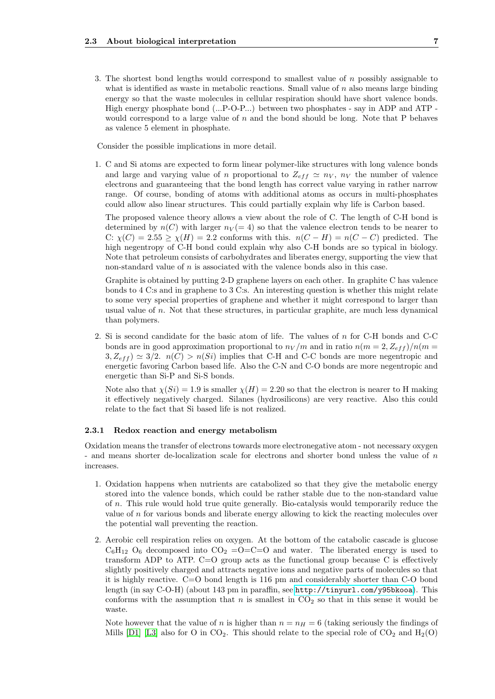3. The shortest bond lengths would correspond to smallest value of  $n$  possibly assignable to what is identified as waste in metabolic reactions. Small value of  $n$  also means large binding energy so that the waste molecules in cellular respiration should have short valence bonds. High energy phosphate bond (...P-O-P...) between two phosphates - say in ADP and ATP would correspond to a large value of  $n$  and the bond should be long. Note that P behaves as valence 5 element in phosphate.

Consider the possible implications in more detail.

1. C and Si atoms are expected to form linear polymer-like structures with long valence bonds and large and varying value of n proportional to  $Z_{eff} \simeq n_V$ ,  $n_V$  the number of valence electrons and guaranteeing that the bond length has correct value varying in rather narrow range. Of course, bonding of atoms with additional atoms as occurs in multi-phosphates could allow also linear structures. This could partially explain why life is Carbon based.

The proposed valence theory allows a view about the role of C. The length of C-H bond is determined by  $n(C)$  with larger  $n<sub>V</sub> (= 4)$  so that the valence electron tends to be nearer to C:  $\chi(C) = 2.55 \ge \chi(H) = 2.2$  conforms with this.  $n(C - H) = n(C - C)$  predicted. The high negentropy of C-H bond could explain why also C-H bonds are so typical in biology. Note that petroleum consists of carbohydrates and liberates energy, supporting the view that non-standard value of  $n$  is associated with the valence bonds also in this case.

Graphite is obtained by putting 2-D graphene layers on each other. In graphite C has valence bonds to 4 C:s and in graphene to 3 C:s. An interesting question is whether this might relate to some very special properties of graphene and whether it might correspond to larger than usual value of n. Not that these structures, in particular graphite, are much less dynamical than polymers.

2. Si is second candidate for the basic atom of life. The values of n for C-H bonds and C-C bonds are in good approximation proportional to  $n_V/m$  and in ratio  $n(m = 2, Z_{eff})/n(m = 1)$  $3, Z_{eff}$ )  $\simeq$  3/2.  $n(C) > n(Si)$  implies that C-H and C-C bonds are more negentropic and energetic favoring Carbon based life. Also the C-N and C-O bonds are more negentropic and energetic than Si-P and Si-S bonds.

Note also that  $\chi(S_i) = 1.9$  is smaller  $\chi(H) = 2.20$  so that the electron is nearer to H making it effectively negatively charged. Silanes (hydrosilicons) are very reactive. Also this could relate to the fact that Si based life is not realized.

#### <span id="page-6-0"></span>2.3.1 Redox reaction and energy metabolism

Oxidation means the transfer of electrons towards more electronegative atom - not necessary oxygen - and means shorter de-localization scale for electrons and shorter bond unless the value of n increases.

- 1. Oxidation happens when nutrients are catabolized so that they give the metabolic energy stored into the valence bonds, which could be rather stable due to the non-standard value of n. This rule would hold true quite generally. Bio-catalysis would temporarily reduce the value of n for various bonds and liberate energy allowing to kick the reacting molecules over the potential wall preventing the reaction.
- 2. Aerobic cell respiration relies on oxygen. At the bottom of the catabolic cascade is glucose  $C_6H_{12}$  O<sub>6</sub> decomposed into CO<sub>2</sub> = O = C = O and water. The liberated energy is used to transform ADP to ATP.  $C=O$  group acts as the functional group because C is effectively slightly positively charged and attracts negative ions and negative parts of molecules so that it is highly reactive. C=O bond length is 116 pm and considerably shorter than C-O bond length (in say C-O-H) (about 143 pm in paraffin, see <http://tinyurl.com/y95bkooa>). This conforms with the assumption that  $n$  is smallest in  $CO<sub>2</sub>$  so that in this sense it would be waste.

Note however that the value of n is higher than  $n = n_H = 6$  (taking seriously the findings of Mills [\[D1\]](#page-10-1) [\[L3\]](#page-11-1) also for O in CO<sub>2</sub>. This should relate to the special role of  $CO<sub>2</sub>$  and  $H<sub>2</sub>(O)$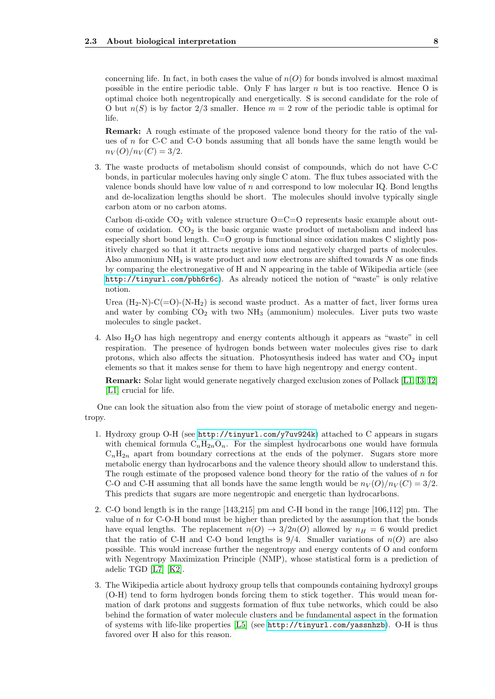concerning life. In fact, in both cases the value of  $n(O)$  for bonds involved is almost maximal possible in the entire periodic table. Only F has larger  $n$  but is too reactive. Hence O is optimal choice both negentropically and energetically. S is second candidate for the role of O but  $n(S)$  is by factor 2/3 smaller. Hence  $m = 2$  row of the periodic table is optimal for life.

Remark: A rough estimate of the proposed valence bond theory for the ratio of the values of  $n$  for C-C and C-O bonds assuming that all bonds have the same length would be  $n_V(O)/n_V(C) = 3/2.$ 

3. The waste products of metabolism should consist of compounds, which do not have C-C bonds, in particular molecules having only single C atom. The flux tubes associated with the valence bonds should have low value of  $n$  and correspond to low molecular IQ. Bond lengths and de-localization lengths should be short. The molecules should involve typically single carbon atom or no carbon atoms.

Carbon di-oxide  $CO<sub>2</sub>$  with valence structure  $O=C=O$  represents basic example about outcome of oxidation.  $CO<sub>2</sub>$  is the basic organic waste product of metabolism and indeed has especially short bond length. C=O group is functional since oxidation makes C slightly positively charged so that it attracts negative ions and negatively charged parts of molecules. Also ammonium  $NH<sub>3</sub>$  is waste product and now electrons are shifted towards N as one finds by comparing the electronegative of H and N appearing in the table of Wikipedia article (see <http://tinyurl.com/pbh6r6c>). As already noticed the notion of "waste" is only relative notion.

Urea  $(H_2-N)-C(=O)-(N-H_2)$  is second waste product. As a matter of fact, liver forms urea and water by combing  $CO<sub>2</sub>$  with two  $NH<sub>3</sub>$  (ammonium) molecules. Liver puts two waste molecules to single packet.

4. Also H2O has high negentropy and energy contents although it appears as "waste" in cell respiration. The presence of hydrogen bonds between water molecules gives rise to dark protons, which also affects the situation. Photosynthesis indeed has water and  $CO<sub>2</sub>$  input elements so that it makes sense for them to have high negentropy and energy content.

Remark: Solar light would generate negatively charged exclusion zones of Pollack [\[L1,](#page-11-5) [I3,](#page-11-6) [I2\]](#page-11-7) [\[L1\]](#page-11-5) crucial for life.

One can look the situation also from the view point of storage of metabolic energy and negentropy.

- 1. Hydroxy group O-H (see <http://tinyurl.com/y7uv924k>) attached to C appears in sugars with chemical formula  $C_nH_{2n}O_n$ . For the simplest hydrocarbons one would have formula  $C_nH_{2n}$  apart from boundary corrections at the ends of the polymer. Sugars store more metabolic energy than hydrocarbons and the valence theory should allow to understand this. The rough estimate of the proposed valence bond theory for the ratio of the values of  $n$  for C-O and C-H assuming that all bonds have the same length would be  $n_V(O)/n_V(C) = 3/2$ . This predicts that sugars are more negentropic and energetic than hydrocarbons.
- 2. C-O bond length is in the range [143,215] pm and C-H bond in the range [106,112] pm. The value of  $n$  for C-O-H bond must be higher than predicted by the assumption that the bonds have equal lengths. The replacement  $n(O) \rightarrow 3/2n(O)$  allowed by  $n_H = 6$  would predict that the ratio of C-H and C-O bond lengths is  $9/4$ . Smaller variations of  $n(O)$  are also possible. This would increase further the negentropy and energy contents of O and conform with Negentropy Maximization Principle (NMP), whose statistical form is a prediction of adelic TGD [\[L7\]](#page-11-4) [\[K2\]](#page-11-3).
- 3. The Wikipedia article about hydroxy group tells that compounds containing hydroxyl groups (O-H) tend to form hydrogen bonds forcing them to stick together. This would mean formation of dark protons and suggests formation of flux tube networks, which could be also behind the formation of water molecule clusters and be fundamental aspect in the formation of systems with life-like properties [\[L5\]](#page-11-0) (see <http://tinyurl.com/yassnhzb>). O-H is thus favored over H also for this reason.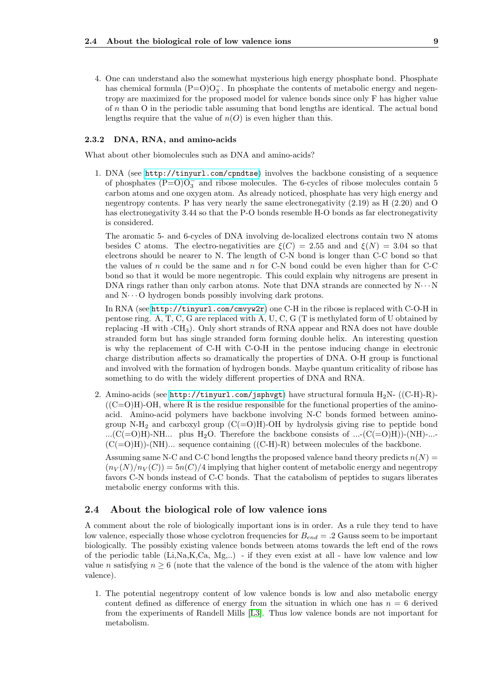4. One can understand also the somewhat mysterious high energy phosphate bond. Phosphate has chemical formula  $(P=O)O_3^-$ . In phosphate the contents of metabolic energy and negentropy are maximized for the proposed model for valence bonds since only F has higher value of n than O in the periodic table assuming that bond lengths are identical. The actual bond lengths require that the value of  $n(O)$  is even higher than this.

#### <span id="page-8-0"></span>2.3.2 DNA, RNA, and amino-acids

What about other biomolecules such as DNA and amino-acids?

1. DNA (see <http://tinyurl.com/cpndtse>) involves the backbone consisting of a sequence of phosphates  $(P=O)O_3^-$  and ribose molecules. The 6-cycles of ribose molecules contain 5 carbon atoms and one oxygen atom. As already noticed, phosphate has very high energy and negentropy contents. P has very nearly the same electronegativity (2.19) as H (2.20) and O has electronegativity 3.44 so that the P-O bonds resemble H-O bonds as far electronegativity is considered.

The aromatic 5- and 6-cycles of DNA involving de-localized electrons contain two N atoms besides C atoms. The electro-negativities are  $\xi(C) = 2.55$  and and  $\xi(N) = 3.04$  so that electrons should be nearer to N. The length of C-N bond is longer than C-C bond so that the values of n could be the same and n for  $C-N$  bond could be even higher than for  $C-C$ bond so that it would be more negentropic. This could explain why nitrogens are present in DNA rings rather than only carbon atoms. Note that DNA strands are connected by  $N \cdots N$ and  $N \cdots$  O hydrogen bonds possibly involving dark protons.

In RNA (see <http://tinyurl.com/cmvyw2r>) one C-H in the ribose is replaced with C-O-H in pentose ring. A, T, C, G are replaced with A, U, C, G (T is methylated form of U obtained by replacing -H with -CH3). Only short strands of RNA appear and RNA does not have double stranded form but has single stranded form forming double helix. An interesting question is why the replacement of C-H with C-O-H in the pentose inducing change in electronic charge distribution affects so dramatically the properties of DNA. O-H group is functional and involved with the formation of hydrogen bonds. Maybe quantum criticality of ribose has something to do with the widely different properties of DNA and RNA.

2. Amino-acids (see <http://tinyurl.com/jsphvgt>) have structural formula  $H_2N-$  ((C-H)-R)- $((C=O)H)-OH$ , where R is the residue responsible for the functional properties of the aminoacid. Amino-acid polymers have backbone involving N-C bonds formed between aminogroup N-H<sub>2</sub> and carboxyl group  $(C(=O)H)$ -OH by hydrolysis giving rise to peptide bond ...( $C(=O)H$ )-NH... plus H<sub>2</sub>O. Therefore the backbone consists of ...- $(C(=O)H)$ )-(NH)-...- $(C(=O)H)$ -(NH)... sequence containing  $((C-H)-R)$  between molecules of the backbone.

Assuming same N-C and C-C bond lengths the proposed valence band theory predicts  $n(N)$  $(n_V(N)/n_V(C)) = 5n(C)/4$  implying that higher content of metabolic energy and negentropy favors C-N bonds instead of C-C bonds. That the catabolism of peptides to sugars liberates metabolic energy conforms with this.

#### <span id="page-8-1"></span>2.4 About the biological role of low valence ions

A comment about the role of biologically important ions is in order. As a rule they tend to have low valence, especially those whose cyclotron frequencies for  $B_{end} = .2$  Gauss seem to be important biologically. The possibly existing valence bonds between atoms towards the left end of the rows of the periodic table  $(Li, Na, K, Ca, Mg, ...)$  - if they even exist at all - have low valence and low value n satisfying  $n \geq 6$  (note that the valence of the bond is the valence of the atom with higher valence).

1. The potential negentropy content of low valence bonds is low and also metabolic energy content defined as difference of energy from the situation in which one has  $n = 6$  derived from the experiments of Randell Mills [\[L3\]](#page-11-1). Thus low valence bonds are not important for metabolism.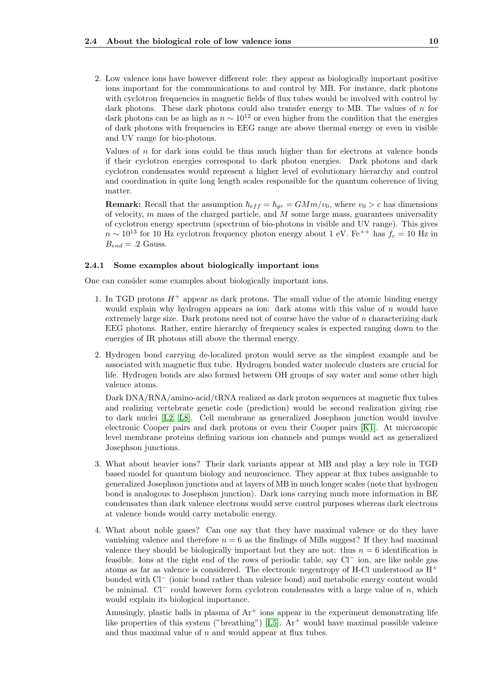2. Low valence ions have however different role: they appear as biologically important positive ions important for the communications to and control by MB. For instance, dark photons with cyclotron frequencies in magnetic fields of flux tubes would be involved with control by dark photons. These dark photons could also transfer energy to MB. The values of  $n$  for dark photons can be as high as  $n \sim 10^{12}$  or even higher from the condition that the energies of dark photons with frequencies in EEG range are above thermal energy or even in visible and UV range for bio-photons.

Values of n for dark ions could be thus much higher than for electrons at valence bonds if their cyclotron energies correspond to dark photon energies. Dark photons and dark cyclotron condensates would represent a higher level of evolutionary hierarchy and control and coordination in quite long length scales responsible for the quantum coherence of living matter.

**Remark:** Recall that the assumption  $\hbar_{eff} = \hbar_{gr} = GMm/v_0$ , where  $v_0 > c$  has dimensions of velocity,  $m$  mass of the charged particle, and  $M$  some large mass, guarantees universality of cyclotron energy spectrum (spectrum of bio-photons in visible and UV range). This gives  $n \sim 10^{13}$  for 10 Hz cyclotron frequency photon energy about 1 eV. Fe<sup>++</sup> has  $f_c = 10$  Hz in  $B_{end} = .2$  Gauss.

#### <span id="page-9-0"></span>2.4.1 Some examples about biologically important ions

One can consider some examples about biologically important ions.

- 1. In TGD protons  $H^+$  appear as dark protons. The small value of the atomic binding energy would explain why hydrogen appears as ion: dark atoms with this value of  $n$  would have extremely large size. Dark protons need not of course have the value of n characterizing dark EEG photons. Rather, entire hierarchy of frequency scales is expected ranging down to the energies of IR photons still above the thermal energy.
- 2. Hydrogen bond carrying de-localized proton would serve as the simplest example and be associated with magnetic flux tube. Hydrogen bonded water molecule clusters are crucial for life. Hydrogen bonds are also formed between OH groups of say water and some other high valence atoms.

Dark DNA/RNA/amino-acid/tRNA realized as dark proton sequences at magnetic flux tubes and realizing vertebrate genetic code (prediction) would be second realization giving rise to dark nuclei [\[L2,](#page-11-8) [L8\]](#page-11-9). Cell membrane as generalized Josephson junction would involve electronic Cooper pairs and dark protons or even their Cooper pairs [\[K1\]](#page-11-10). At microscopic level membrane proteins defining various ion channels and pumps would act as generalized Josephson junctions.

- 3. What about heavier ions? Their dark variants appear at MB and play a key role in TGD based model for quantum biology and neuroscience. They appear at flux tubes assignable to generalized Josephson junctions and at layers of MB in much longer scales (note that hydrogen bond is analogous to Josephson junction). Dark ions carrying much more information in BE condensates than dark valence electrons would serve control purposes whereas dark electrons at valence bonds would carry metabolic energy.
- 4. What about noble gases? Can one say that they have maximal valence or do they have vanishing valence and therefore  $n = 6$  as the findings of Mills suggest? If they had maximal valence they should be biologically important but they are not: thus  $n = 6$  identification is feasible. Ions at the right end of the rows of periodic table, say Cl<sup>−</sup> ion, are like noble gas atoms as far as valence is considered. The electronic negentropy of H-Cl understood as  $H^+$ bonded with Cl<sup>−</sup> (ionic bond rather than valence bond) and metabolic energy content would be minimal. Cl<sup>−</sup> could however form cyclotron condensates with a large value of  $n$ , which would explain its biological importance.

Amusingly, plastic balls in plasma of  $Ar<sup>+</sup>$  ions appear in the experiment demonstrating life like properties of this system ("breathing") [\[L5\]](#page-11-0).  $Ar^{+}$  would have maximal possible valence and thus maximal value of  $n$  and would appear at flux tubes.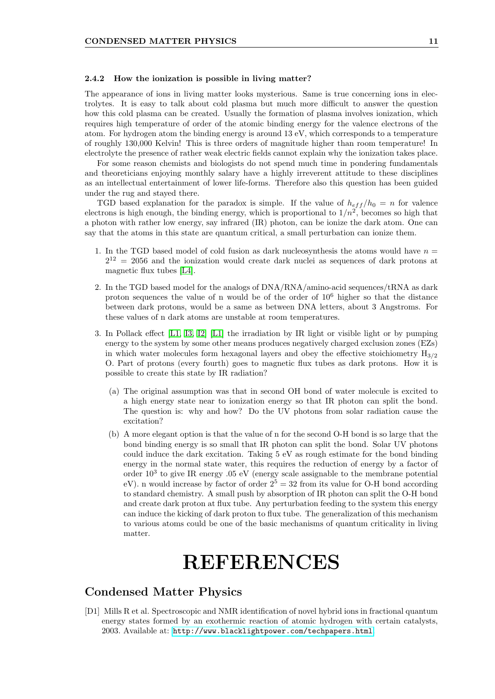#### <span id="page-10-0"></span>2.4.2 How the ionization is possible in living matter?

The appearance of ions in living matter looks mysterious. Same is true concerning ions in electrolytes. It is easy to talk about cold plasma but much more difficult to answer the question how this cold plasma can be created. Usually the formation of plasma involves ionization, which requires high temperature of order of the atomic binding energy for the valence electrons of the atom. For hydrogen atom the binding energy is around 13 eV, which corresponds to a temperature of roughly 130,000 Kelvin! This is three orders of magnitude higher than room temperature! In electrolyte the presence of rather weak electric fields cannot explain why the ionization takes place.

For some reason chemists and biologists do not spend much time in pondering fundamentals and theoreticians enjoying monthly salary have a highly irreverent attitude to these disciplines as an intellectual entertainment of lower life-forms. Therefore also this question has been guided under the rug and stayed there.

TGD based explanation for the paradox is simple. If the value of  $h_{eff}/h_0 = n$  for valence electrons is high enough, the binding energy, which is proportional to  $1/n^2$ , becomes so high that a photon with rather low energy, say infrared (IR) photon, can be ionize the dark atom. One can say that the atoms in this state are quantum critical, a small perturbation can ionize them.

- 1. In the TGD based model of cold fusion as dark nucleosynthesis the atoms would have  $n =$  $2^{12}$  = 2056 and the ionization would create dark nuclei as sequences of dark protons at magnetic flux tubes [\[L4\]](#page-11-11).
- 2. In the TGD based model for the analogs of  $DNA/RNA/amino-acid$  sequences/ $tRNA$  as dark proton sequences the value of n would be of the order of  $10<sup>6</sup>$  higher so that the distance between dark protons, would be a same as between DNA letters, about 3 Angstroms. For these values of n dark atoms are unstable at room temperatures.
- 3. In Pollack effect [\[L1,](#page-11-5) [I3,](#page-11-6) [I2\]](#page-11-7) [\[L1\]](#page-11-5) the irradiation by IR light or visible light or by pumping energy to the system by some other means produces negatively charged exclusion zones (EZs) in which water molecules form hexagonal layers and obey the effective stoichiometry  $H_{3/2}$ O. Part of protons (every fourth) goes to magnetic flux tubes as dark protons. How it is possible to create this state by IR radiation?
	- (a) The original assumption was that in second OH bond of water molecule is excited to a high energy state near to ionization energy so that IR photon can split the bond. The question is: why and how? Do the UV photons from solar radiation cause the excitation?
	- (b) A more elegant option is that the value of n for the second O-H bond is so large that the bond binding energy is so small that IR photon can split the bond. Solar UV photons could induce the dark excitation. Taking 5 eV as rough estimate for the bond binding energy in the normal state water, this requires the reduction of energy by a factor of order  $10^3$  to give IR energy .05 eV (energy scale assignable to the membrane potential eV). n would increase by factor of order  $2^5 = 32$  from its value for O-H bond according to standard chemistry. A small push by absorption of IR photon can split the O-H bond and create dark proton at flux tube. Any perturbation feeding to the system this energy can induce the kicking of dark proton to flux tube. The generalization of this mechanism to various atoms could be one of the basic mechanisms of quantum criticality in living matter.

# REFERENCES

## Condensed Matter Physics

<span id="page-10-1"></span>[D1] Mills R et al. Spectroscopic and NMR identification of novel hybrid ions in fractional quantum energy states formed by an exothermic reaction of atomic hydrogen with certain catalysts, 2003. Available at: <http://www.blacklightpower.com/techpapers.html>.